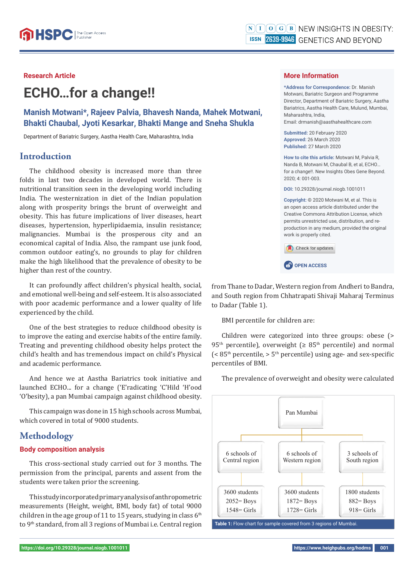# **Research Article**

# **ECHO…for a change!!**

**Manish Motwani\*, Rajeev Palvia, Bhavesh Nanda, Mahek Motwani, Bhakti Chaubal, Jyoti Kesarkar, Bhakti Mange and Sneha Shukla**

Department of Bariatric Surgery, Aastha Health Care, Maharashtra, India

## **Introduction**

The childhood obesity is increased more than three folds in last two decades in developed world. There is nutritional transition seen in the developing world including India. The westernization in diet of the Indian population along with prosperity brings the brunt of overweight and obesity. This has future implications of liver diseases, heart diseases, hypertension, hyperlipidaemia, insulin resistance; malignancies. Mumbai is the prosperous city and an economical capital of India. Also, the rampant use junk food, common outdoor eating's, no grounds to play for children make the high likelihood that the prevalence of obesity to be higher than rest of the country.

It can profoundly affect children's physical health, social, and emotional well-being and self-esteem. It is also associated with poor academic performance and a lower quality of life experienced by the child.

One of the best strategies to reduce childhood obesity is to improve the eating and exercise habits of the entire family. Treating and preventing childhood obesity helps protect the child's health and has tremendous impact on child's Physical and academic performance.

And hence we at Aastha Bariatrics took initiative and launched ECHO... for a change ('E'radicating 'C'Hild 'H'ood 'O'besity), a pan Mumbai campaign against childhood obesity.

This campaign was done in 15 high schools across Mumbai, which covered in total of 9000 students.

# **Methodology**

## **Body composition analysis**

This cross-sectional study carried out for 3 months. The permission from the principal, parents and assent from the students were taken prior the screening.

This study incorporated primary analysis of anthropometric measurements (Height, weight, BMI, body fat) of total 9000 children in the age group of 11 to 15 years, studying in class  $6<sup>th</sup>$ to 9th standard, from all 3 regions of Mumbai i.e. Central region

#### **More Information**

**\*Address for Correspondence:** Dr. Manish Motwani, Bariatric Surgeon and Programme Director, Department of Bariatric Surgery, Aastha Bariatrics, Aastha Health Care, Mulund, Mumbai, Maharashtra, India,

Email: drmanish@aasthahealthcare.com

**Submitted:** 20 February 2020 **Approved:** 26 March 2020 **Published:** 27 March 2020

**How to cite this article:** Motwani M, Palvia R, Nanda B, Motwani M, Chaubal B, et al, ECHO… for a change!!. New Insights Obes Gene Beyond. 2020; 4: 001-003.

**DOI:** 10.29328/journal.niogb.1001011

**Copyright: ©** 2020 Motwani M, et al. This is an open access article distributed under the Creative Commons Attribution License, which permits unrestricted use, distribution, and reproduction in any medium, provided the original work is properly cited.

Check for updates

**CP** OPEN ACCESS

from Thane to Dadar, Western region from Andheri to Bandra, and South region from Chhatrapati Shivaji Maharaj Terminus to Dadar (Table 1).

BMI percentile for children are:

Children were categorized into three groups: obese (> 95<sup>th</sup> percentile), overweight ( $\geq 85$ <sup>th</sup> percentile) and normal  $\zeta$  < 85<sup>th</sup> percentile, > 5<sup>th</sup> percentile) using age- and sex-specific percentiles of BMI.

The prevalence of overweight and obesity were calculated

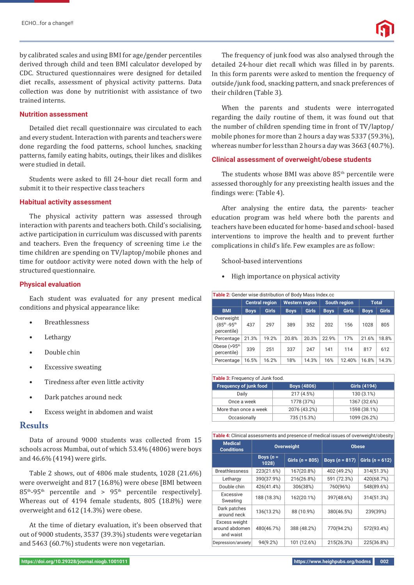by calibrated scales and using BMI for age/gender percentiles derived through child and teen BMI calculator developed by CDC. Structured questionnaires were designed for detailed diet recalls, assessment of physical activity patterns. Data collection was done by nutritionist with assistance of two trained interns.

## **Nutrition assessment**

Detailed diet recall questionnaire was circulated to each and every student. Interaction with parents and teachers were done regarding the food patterns, school lunches, snacking patterns, family eating habits, outings, their likes and dislikes were studied in detail.

Students were asked to fill 24-hour diet recall form and submit it to their respective class teachers

## **Habitual activity assessment**

The physical activity pattern was assessed through interaction with parents and teachers both. Child's socialising, active participation in curriculum was discussed with parents and teachers. Even the frequency of screening time i.e the time children are spending on TV/laptop/mobile phones and time for outdoor activity were noted down with the help of structured questionnaire.

#### **Physical evaluation**

Each student was evaluated for any present medical conditions and physical appearance like:

- **Breathlessness**
- **Lethargy**
- Double chin
- Excessive sweating
- Tiredness after even little activity
- Dark patches around neck
- Excess weight in abdomen and waist

# **Results**

Data of around 9000 students was collected from 15 schools across Mumbai, out of which 53.4% (4806) were boys and 46.6% (4194) were girls.

Table 2 shows, out of 4806 male students, 1028 (21.6%) were overweight and 817 (16.8%) were obese [BMI between 85th-95th percentile and > 95th percentile respectively]. Whereas out of 4194 female students, 805 (18.8%) were overweight and 612 (14.3%) were obese.

At the time of dietary evaluation, it's been observed that out of 9000 students, 3537 (39.3%) students were vegetarian and 5463 (60.7%) students were non vegetarian.

**https://doi.org/10.29328/journal.niogb.1001011 https://www.heighpubs.org/hodms 002**

The frequency of junk food was also analysed through the detailed 24-hour diet recall which was filled in by parents. In this form parents were asked to mention the frequency of outside/junk food, snacking pattern, and snack preferences of their children (Table 3).

When the parents and students were interrogated regarding the daily routine of them, it was found out that the number of children spending time in front of TV/laptop/ mobile phones for more than 2 hours a day was 5337 (59.3%), whereas number for less than 2 hours a day was 3663 (40.7%).

#### **Clinical assessment of overweight/obese students**

The students whose BMI was above  $85<sup>th</sup>$  percentile were assessed thoroughly for any preexisting health issues and the findings were: (Table 4).

After analysing the entire data, the parents- teacher education program was held where both the parents and teachers have been educated for home- based and school- based interventions to improve the health and to prevent further complications in child's life. Few examples are as follow:

School-based interventions

• High importance on physical activity

| <b>Table 2:</b> Gender wise distribution of Body Mass Index.cc |                       |              |                       |              |                     |              |              |              |  |  |
|----------------------------------------------------------------|-----------------------|--------------|-----------------------|--------------|---------------------|--------------|--------------|--------------|--|--|
|                                                                | <b>Central region</b> |              | <b>Western region</b> |              | <b>South region</b> |              | <b>Total</b> |              |  |  |
| <b>BMI</b>                                                     | <b>Boys</b>           | <b>Girls</b> | <b>Boys</b>           | <b>Girls</b> | <b>Boys</b>         | <b>Girls</b> | <b>Boys</b>  | <b>Girls</b> |  |  |
| Overweight<br>(85th -95th<br>percentile)                       | 437                   | 297          | 389                   | 352          | 202                 | 156          | 1028         | 805          |  |  |
| Percentage                                                     | 21.3%                 | 19.2%        | 20.8%                 | 20.3%        | 22.9%               | 17%          | 21.6%        | 18.8%        |  |  |
| Obese $(>95th)$<br>percentile)                                 | 339                   | 251          | 337                   | 247          | 141                 | 114          | 817          | 612          |  |  |
| Percentage                                                     | 16.5%                 | 16.2%        | 18%                   | 14.3%        | 16%                 | 12.40%       | 16.8%        | 14.3%        |  |  |

| Table 3: Frequency of Junk food. |                    |                     |  |  |  |  |
|----------------------------------|--------------------|---------------------|--|--|--|--|
| <b>Frequency of junk food</b>    | <b>Boys (4806)</b> | <b>Girls (4194)</b> |  |  |  |  |
| Daily                            | 217 (4.5%)         | 130 (3.1%)          |  |  |  |  |
| Once a week                      | 1778 (37%)         | 1367 (32.6%)        |  |  |  |  |
| More than once a week            | 2076 (43.2%)       | 1598 (38.1%)        |  |  |  |  |
| Occasionally                     | 735 (15.3%)        | 1099 (26.2%)        |  |  |  |  |

| Table 4: Clinical assessments and presence of medical issues of overweight/obesity |                      |                     |                  |                   |  |  |  |  |
|------------------------------------------------------------------------------------|----------------------|---------------------|------------------|-------------------|--|--|--|--|
| <b>Medical</b><br><b>Conditions</b>                                                |                      | <b>Overweight</b>   | <b>Obese</b>     |                   |  |  |  |  |
|                                                                                    | Boys $(n =$<br>1028) | Girls ( $n = 805$ ) | Boys $(n = 817)$ | Girls $(n = 612)$ |  |  |  |  |
| <b>Breathlessness</b>                                                              | 223(21.6%)           | 167(20.8%)          | 402 (49.2%)      | 314(51.3%)        |  |  |  |  |
| Lethargy                                                                           | 390(37.9%)           | 216(26.8%)          | 591 (72.3%)      | 420(68.7%)        |  |  |  |  |
| Double chin                                                                        | 426(41.4%)           | 306(38%)            | 760(96%)         | 548(89.6%)        |  |  |  |  |
| Excessive<br>Sweating                                                              | 188 (18.3%)          | 162(20.1%)          | 397(48.6%)       | 314(51.3%)        |  |  |  |  |
| Dark patches<br>around neck                                                        | 136(13.2%)           | 88 (10.9%)          | 380(46.5%)       | 239(39%)          |  |  |  |  |
| Excess weight<br>around abdomen<br>and waist                                       | 480(46.7%)           | 388 (48.2%)         | 770(94.2%)       | 572(93.4%)        |  |  |  |  |
| Depression/anxiety                                                                 | 94(9.2%)             | 101 (12.6%)         | 215(26.3%)       | 225(36.8%)        |  |  |  |  |